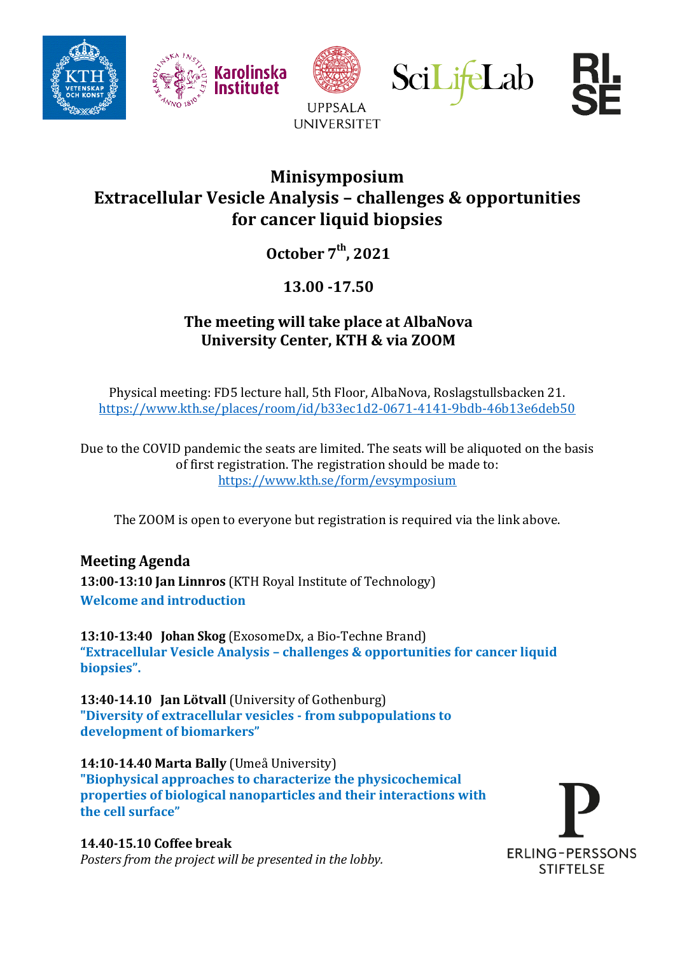





**UPPSALA UNIVERSITET** 





## **Minisymposium Extracellular Vesicle Analysis – challenges & opportunities for cancer liquid biopsies**

**October 7 th , 2021**

**13.00 -17.50**

## **The meeting will take place at AlbaNova University Center, KTH & via ZOOM**

Physical meeting: FD5 lecture hall, 5th Floor, AlbaNova, Roslagstullsbacken 21. <https://www.kth.se/places/room/id/b33ec1d2-0671-4141-9bdb-46b13e6deb50>

Due to the COVID pandemic the seats are limited. The seats will be aliquoted on the basis of first registration. The registration should be made to: <https://www.kth.se/form/evsymposium>

The ZOOM is open to everyone but registration is required via the link above.

## **Meeting Agenda**

**13:00-13:10 Jan Linnros** (KTH Royal Institute of Technology) **Welcome and introduction**

**13:10-13:40 Johan Skog** (ExosomeDx, a Bio-Techne Brand) **"Extracellular Vesicle Analysis – challenges & opportunities for cancer liquid biopsies".** 

**13:40-14.10 Jan Lötvall** (University of Gothenburg) **"Diversity of extracellular vesicles - from subpopulations to development of biomarkers"**

**14:10-14.40 Marta Bally** (Umeå University) **"Biophysical approaches to characterize the physicochemical properties of biological nanoparticles and their interactions with the cell surface"**

**14.40-15.10 Coffee break**  *Posters from the project will be presented in the lobby.*